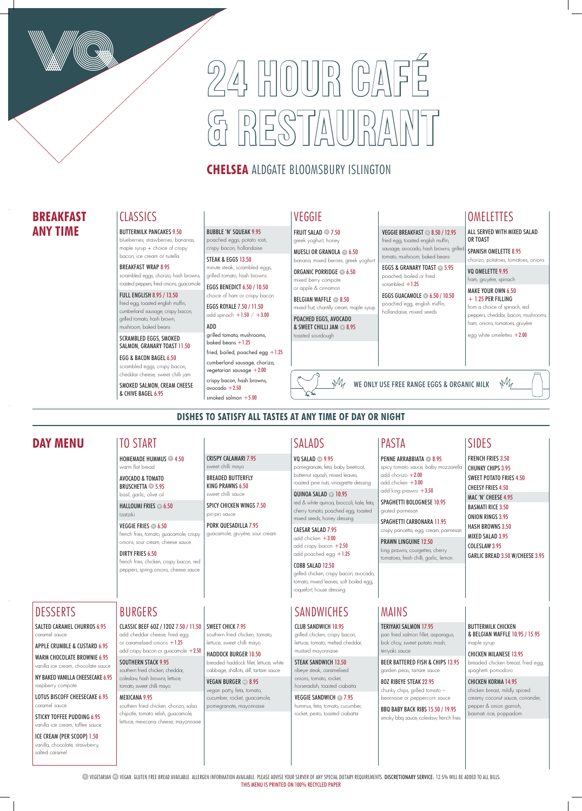# $24$ , HOUDR CA  $\begin{pmatrix} 0 & 0 \\ 0 & 0 \end{pmatrix} \begin{pmatrix} 0 & 0 \\ 0 & 0 \end{pmatrix} = \begin{pmatrix} 0 & 0 \\ 0 & 0 \end{pmatrix} \begin{pmatrix} 0 & 0 \\ 0 & 0 \end{pmatrix} \begin{pmatrix} 0 & 0 \\ 0 & 0 \end{pmatrix}$

## **CHELSEA** ALDGATE BLOOMSBURY ISLINGTON

**VEGETARIAN <sup>®</sup> VEGAN. GLUTEN FREE BREAD AVAILABLE. ALLERGEN INFORMATION AVAILABLE. PLEASE ADVISE YOUR SERVER OF ANY SPECIAL DIETARY REQUIREMENTS. DISCRETIONARY SERVICE: 12.5% WILL BE ADDED TO ALL BILLS.** THIS MENU IS PRINTED ON 100% RECYCLED PAPER

CLASSIC BEEF 6OZ / 12OZ 7.50 / 11.50 SWEET CHICK 7.95 add cheddar cheese, fried egg or caramelised onions  $+1.25$ add crispy bacon or guacamole +2.50

## **DISHES TO SATISFY ALL TASTES AT ANY TIME OF DAY OR NIGHT**

#### SOUTHERN STACK 9.95

southern fried chicken, cheddar, coleslaw, hash browns, lettuce, tomato, sweet chilli mayo

#### MEXICANA 9.95

southern fried chicken, chorizo, salsa chipotle, tomato relish, guacamole, lettuce, mexicana cheese, mayonnaise

### mixed seeds, honey dressing CAESAR SALAD 7.95 add chicken  $+3.00$

add crispy bacon  $+2.50$ add poached egg +1.25

southern fried chicken, tomato, lettuce, sweet chilli mayo

## HADDOCK BURGER 10.50

breaded haddock fillet, lettuce, white cabbage, shallots, dill, tartare sauce

**PENNE ARRABBIATA <b>2** 8.95 spicy tomato sauce, baby mozzarella add chorizo  $+2.00$ add chicken +3.00

VEGAN BURGER **VE** 8.95 vegan patty, feta, tomato, cucumber, rocket, guacamole, pomegranate, mayonnaise

## **SANDWICHES**

## BURGERS

## **DAY MENU** SIDES

FRENCH FRIES 3.50 CHUNKY CHIPS 3.95 SWEET POTATO FRIES 4.50 CHEESY FRIES 4.50 MAC 'N' CHEESE 4.95 BASMATI RICE 3.50 ONION RINGS 3.95 HASH BROWNS 3.50 MIXED SALAD 3.95

COLESLAW 3.95 GARLIC BREAD 3.50 W/CHEESE 3.95

# SALADS

VQ SALAD **VE** 9.95 pomegranate, feta, baby beetroot, butternut squash, mixed leaves, roasted pine nuts, vinaigrette dressing

QUINOA SALAD **V** 10.95 red & white quinoa, broccoli, kale, feta, cherry tomato, poached egg, toasted

## COBB SALAD 12.50

grilled chicken, crispy bacon, avocado, tomato, mixed leaves, soft boiled egg, roquefort, house dressing

#### VEGGIE SANDWICH **27.95** hummus, feta, tomato, cucumber, rocket, pesto, toasted ciabatta

#### add king prawns +3.50 SPAGHETTI BOLOGNESE 10.95

grated parmesan SPAGHETTI CARBONARA 11.95

## crispy pancetta, egg, cream, parmesar

PRAWN LINGUINE 12.50 king prawns, courgettes, cherry tomatoes, fresh chilli, garlic, lemon

PASTA

CRISPY CALAMARI 7.95 sweet chilli mayo BREADED BUTTERFLY KING PRAWNS 6.50 sweet chilli sauce

SPICY CHICKEN WINGS 7.50

piri-piri sauce

PORK QUESADILLA 7.95 guacamole, gruyère, sour cream

## TO START

HOMEMADE HUMMUS **<sup>V</sup>** 4.50 warm flat bread

EGGS ROYALE 7.50 / 11.50 add spinach  $+1.50 / +3.00$ 

ADD grilled tomato, mushrooms, baked beans  $+1.25$ 

AVOCADO & TOMATO BRUSCHETTA **<sup>V</sup>** 5.95 basil, garlic, olive oil

fried, boiled, poached egg +1.25 cumberland sausage, chorizo, vegetarian sausage  $+2.00$ crispy bacon, hash browns, avocado  $+2.50$ 

smoked salmon  $+5.00$ 

HALLOUMI FRIES **<sup>V</sup>** 6.50 tzatziki

## VEGGIE FRIES **<sup>V</sup>** 6.50

french fries, tomato, guacamole, crispy onions, sour cream, cheese sauce

#### DIRTY FRIES 6.50

french fries, chicken, crispy bacon, red peppers, spring onions, cheese sauce

BELGIAN WAFFLE **2**8.50 mixed fruit, chantilly cream, maple syrup

## MAINS

#### TERIYAKI SALMON 17.95

pan fried salmon fillet, asparagus, bok choy, sweet potato mash, teriyaki sauce

EGGS & GRANARY TOAST **<sup>V</sup>** 5.95 poached, boiled or fried scrambled  $+1.25$ 

#### BEER BATTERED FISH & CHIPS 13.95 garden peas, tartare sauce

8OZ RIBEYE STEAK 22.95 chunky chips, grilled tomato – bearnaise or peppercorn sauce

#### SPANISH OMELETTE 8.95 chorizo, potatoes, tomatoes, onions

VQ OMELETTE 9.95 ham, gruyère, spinach

MAKE YOUR OWN 6.50  $+ 1.25$  PER FILLING

BBQ BABY BACK RIBS 15.50 / 19.95 smoky bbq sauce, coleslaw, french fries BUTTERMILK CHICKEN & BELGIAN WAFFLE 10.95 / 15.95 maple syrup

CHICKEN MILANESE 13.95 breaded chicken breast, fried egg, spaghetti pomodoro

CHICKEN KORMA 14.95 chicken breast, mildly spiced creamy coconut sauce, coriander, pepper & onion garnish, basmati rice, poppadom

#### CLUB SANDWICH 10.95

grilled chicken, crispy bacon, lettuce, tomato, melted cheddar, mustard mayonnaise

#### STEAK SANDWICH 13.50

ribeye steak, caramelised onions, tomato, rocket, horseradish, toasted ciabatta

## DESSERTS

SALTED CARAMEL CHURROS 6.95 caramel sauce

APPLE CRUMBLE & CUSTARD 6.95

WARM CHOCOLATE BROWNIE 6.95 vanilla ice cream, chocolate sauce

NY BAKED VANILLA CHEESECAKE 6.95

raspberry compote

#### LOTUS BISCOFF CHEESECAKE 6.95 caramel sauce

STICKY TOFFEE PUDDING 6.95 vanilla ice cream, toffee sauce

ICE CREAM (PER SCOOP) 1.50

vanilla, chocolate, strawberry, salted caramel

#### BUTTERMILK PANCAKES 9.50

blueberries, strawberries, bananas, maple syrup + choice of crispy bacon, ice cream or nutella

#### BREAKFAST WRAP 8.95

scrambled eggs, chorizo, hash browns, roasted peppers, fried onions, guacomole

#### FULL ENGLISH 8.95 / 13.50

fried egg, toasted english muffin, cumberland sausage, crispy bacon, grilled tomato, hash brown, mushroom, baked beans

SCRAMBLED EGGS, SMOKED SALMON, GRANARY TOAST 11.50

#### EGG & BACON BAGEL 6.50 scrambled eggs, crispy bacon,

cheddar cheese, sweet chilli jam SMOKED SALMON, CREAM CHEESE & CHIVE BAGEL 6.95

#### BUBBLE 'N' SQUEAK 9.95

poached eggs, potato rosti, crispy bacon, hollandaise STEAK & EGGS 13.50

minute steak, scrambled eggs, grilled tomato, hash browns

EGGS BENEDICT 6.50 / 10.50 choice of ham or crispy bacon

## CLASSICS VEGGIE

FRUIT SALAD **<sup>V</sup>** 7.50 greek yoghurt, honey

MUESLI OR GRANOLA **<sup>V</sup>** 6.50 banana, mixed berries, greek yoghurt

ORGANIC PORRIDGE **<sup>V</sup>** 6.50 mixed berry compote or apple & cinnamon

POACHED EGGS, AVOCADO & SWEET CHILLI JAM **<sup>V</sup>** 8.95 toasted sourdough

VEGGIE BREAKFAST **<sup>V</sup>** 8.50 / 12.95 fried egg, toasted english muffin, sausage, avocado, hash browns, grille tomato, mushroom, baked beans

EGGS GUACAMOLE **<sup>V</sup>** 6.50 / 10.50 poached egg, english muffin, hollandaise, mixed seeds

## **OMELETTES**

## **BREAKFAST ANY TIME**

ALL SERVED WITH MIXED SALAD OR TOAST

from a choice of spinach, red peppers, cheddar, bacon, mushrooms, ham, onions, tomatoes, gruyère

egg white omelettes  $+2.00$ 

 $M$ WE ONLY USE FREE RANGE EGGS & ORGANIC MILK